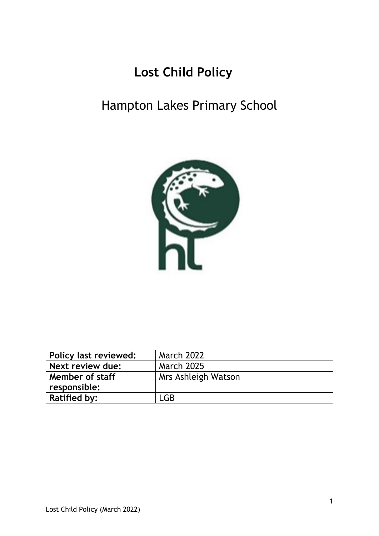# **Lost Child Policy**

## Hampton Lakes Primary School



| Policy last reviewed: | <b>March 2022</b>   |
|-----------------------|---------------------|
| Next review due:      | <b>March 2025</b>   |
| Member of staff       | Mrs Ashleigh Watson |
| responsible:          |                     |
| <b>Ratified by:</b>   | LGB                 |
|                       |                     |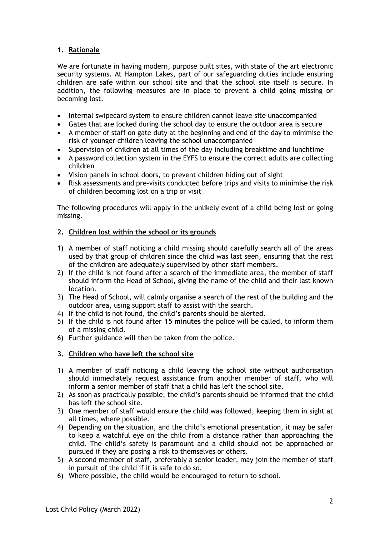### **1. Rationale**

We are fortunate in having modern, purpose built sites, with state of the art electronic security systems. At Hampton Lakes, part of our safeguarding duties include ensuring children are safe within our school site and that the school site itself is secure. In addition, the following measures are in place to prevent a child going missing or becoming lost.

- Internal swipecard system to ensure children cannot leave site unaccompanied
- Gates that are locked during the school day to ensure the outdoor area is secure
- A member of staff on gate duty at the beginning and end of the day to minimise the risk of younger children leaving the school unaccompanied
- Supervision of children at all times of the day including breaktime and lunchtime
- A password collection system in the EYFS to ensure the correct adults are collecting children
- Vision panels in school doors, to prevent children hiding out of sight
- Risk assessments and pre-visits conducted before trips and visits to minimise the risk of children becoming lost on a trip or visit

The following procedures will apply in the unlikely event of a child being lost or going missing.

#### **2. Children lost within the school or its grounds**

- 1) A member of staff noticing a child missing should carefully search all of the areas used by that group of children since the child was last seen, ensuring that the rest of the children are adequately supervised by other staff members.
- 2) If the child is not found after a search of the immediate area, the member of staff should inform the Head of School, giving the name of the child and their last known location.
- 3) The Head of School, will calmly organise a search of the rest of the building and the outdoor area, using support staff to assist with the search.
- 4) If the child is not found, the child's parents should be alerted.
- 5) If the child is not found after **15 minutes** the police will be called, to inform them of a missing child.
- 6) Further guidance will then be taken from the police.

#### **3. Children who have left the school site**

- 1) A member of staff noticing a child leaving the school site without authorisation should immediately request assistance from another member of staff, who will inform a senior member of staff that a child has left the school site.
- 2) As soon as practically possible, the child's parents should be informed that the child has left the school site.
- 3) One member of staff would ensure the child was followed, keeping them in sight at all times, where possible.
- 4) Depending on the situation, and the child's emotional presentation, it may be safer to keep a watchful eye on the child from a distance rather than approaching the child. The child's safety is paramount and a child should not be approached or pursued if they are posing a risk to themselves or others.
- 5) A second member of staff, preferably a senior leader, may join the member of staff in pursuit of the child if it is safe to do so.
- 6) Where possible, the child would be encouraged to return to school.